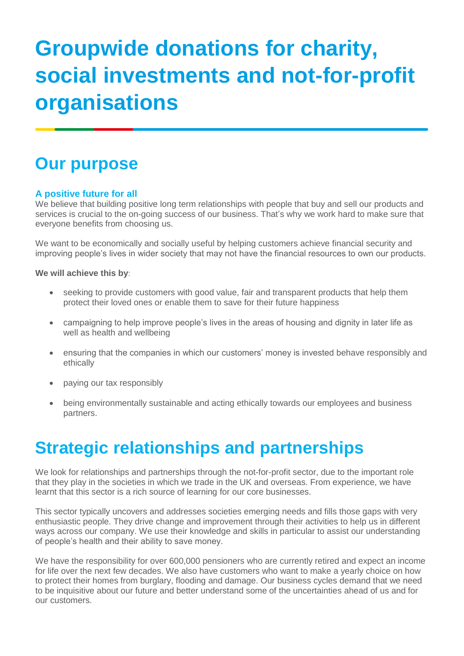# **Groupwide donations for charity, social investments and not-for-profit organisations**

## **Our purpose**

### **A positive future for all**

We believe that building positive long term relationships with people that buy and sell our products and services is crucial to the on-going success of our business. That's why we work hard to make sure that everyone benefits from choosing us.

We want to be economically and socially useful by helping customers achieve financial security and improving people's lives in wider society that may not have the financial resources to own our products.

### **We will achieve this by**:

- seeking to provide customers with good value, fair and transparent products that help them protect their loved ones or enable them to save for their future happiness
- campaigning to help improve people's lives in the areas of housing and dignity in later life as well as health and wellbeing
- ensuring that the companies in which our customers' money is invested behave responsibly and ethically
- paying our tax responsibly
- being environmentally sustainable and acting ethically towards our employees and business partners.

## **Strategic relationships and partnerships**

We look for relationships and partnerships through the not-for-profit sector, due to the important role that they play in the societies in which we trade in the UK and overseas. From experience, we have learnt that this sector is a rich source of learning for our core businesses.

This sector typically uncovers and addresses societies emerging needs and fills those gaps with very enthusiastic people. They drive change and improvement through their activities to help us in different ways across our company. We use their knowledge and skills in particular to assist our understanding of people's health and their ability to save money.

We have the responsibility for over 600,000 pensioners who are currently retired and expect an income for life over the next few decades. We also have customers who want to make a yearly choice on how to protect their homes from burglary, flooding and damage. Our business cycles demand that we need to be inquisitive about our future and better understand some of the uncertainties ahead of us and for our customers.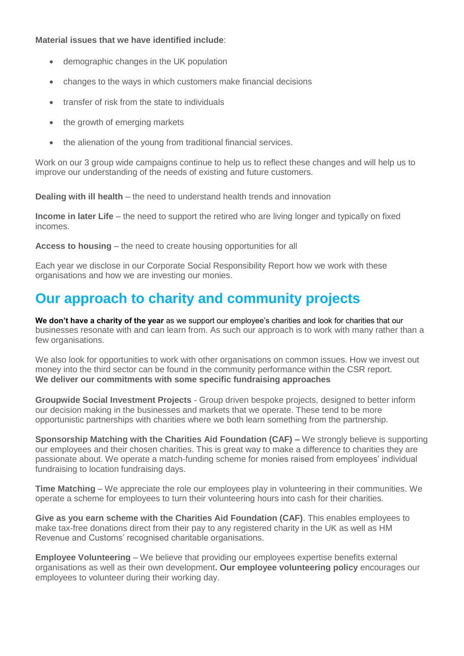### **Material issues that we have identified include**:

- demographic changes in the UK population
- changes to the ways in which customers make financial decisions
- transfer of risk from the state to individuals
- the growth of emerging markets
- the alienation of the young from traditional financial services.

Work on our 3 group wide campaigns continue to help us to reflect these changes and will help us to improve our understanding of the needs of existing and future customers.

**Dealing with ill health** – the need to understand health trends and innovation

**Income in later Life** – the need to support the retired who are living longer and typically on fixed incomes.

**Access to housing** – the need to create housing opportunities for all

Each year we disclose in our Corporate Social Responsibility Report how we work with these organisations and how we are investing our monies.

### **Our approach to charity and community projects**

We don't have a charity of the year as we support our employee's charities and look for charities that our businesses resonate with and can learn from. As such our approach is to work with many rather than a few organisations.

We also look for opportunities to work with other organisations on common issues. How we invest out money into the third sector can be found in the community performance within the CSR report. **We deliver our commitments with some specific fundraising approaches**

**Groupwide Social Investment Projects** - Group driven bespoke projects, designed to better inform our decision making in the businesses and markets that we operate. These tend to be more opportunistic partnerships with charities where we both learn something from the partnership.

**Sponsorship Matching with the Charities Aid Foundation (CAF) –** We strongly believe is supporting our employees and their chosen charities. This is great way to make a difference to charities they are passionate about. We operate a match-funding scheme for monies raised from employees' individual fundraising to location fundraising days.

**Time Matching** – We appreciate the role our employees play in volunteering in their communities. We operate a scheme for employees to turn their volunteering hours into cash for their charities.

**Give as you earn scheme with the Charities Aid Foundation (CAF)**. This enables employees to make tax-free donations direct from their pay to any registered charity in the UK as well as HM Revenue and Customs' recognised charitable organisations.

**Employee Volunteering** – We believe that providing our employees expertise benefits external organisations as well as their own development**. Our employee volunteering policy** encourages our employees to volunteer during their working day.